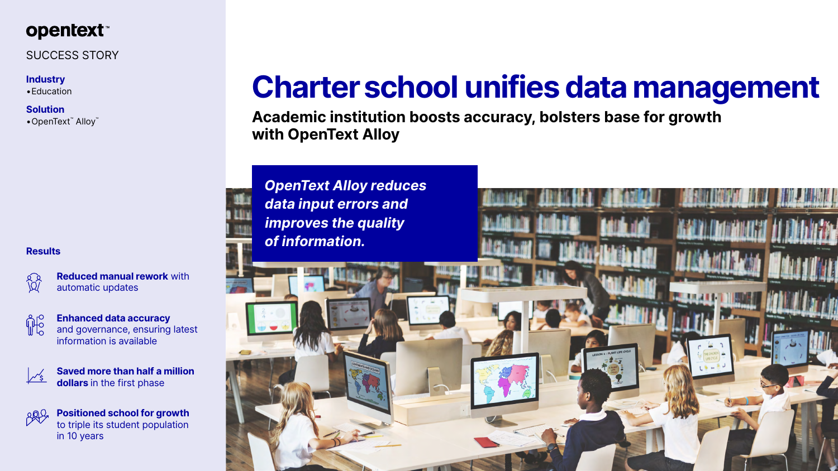

# SUCCESS STORY

### **Industry**

•Education

## **Solution**

•OpenText™ Alloy™

# **Charter school unifies data management**

# **Academic institution boosts accuracy, bolsters base for growth**



**with OpenText Alloy**





### **Results**

**Reduced manual rework** with automatic updates



**Enhanced data accuracy**  and governance, ensuring latest information is available



**Saved more than half a million dollars** in the first phase